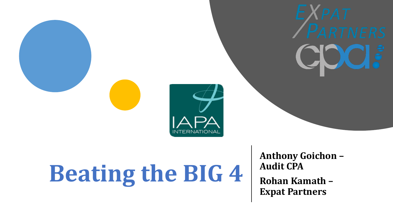



# **Beating the BIG 4**

**Anthony Goichon – Audit CPA Rohan Kamath – Expat Partners**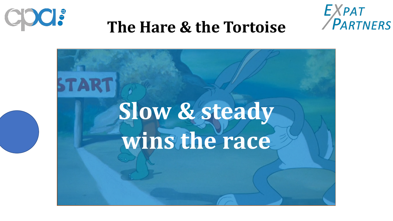



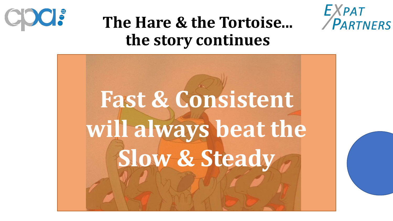





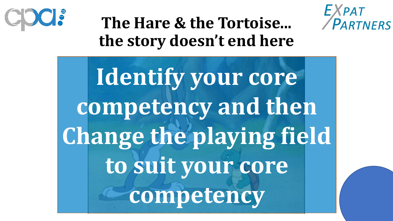



#### **The Hare & the Tortoise... the story doesn't end here**

**Identify your core competency and then Change the playing field to suit your core competency**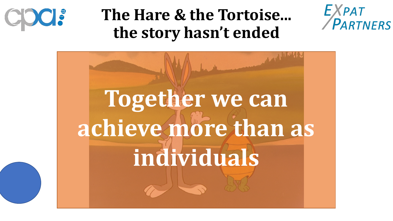

#### **The Hare & the Tortoise... the story hasn't ended**



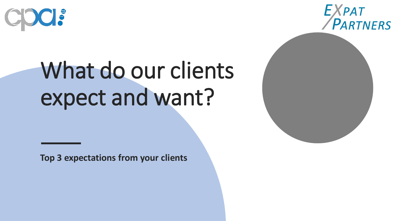



## What do our clients expect and want?

**Top 3 expectations from your clients**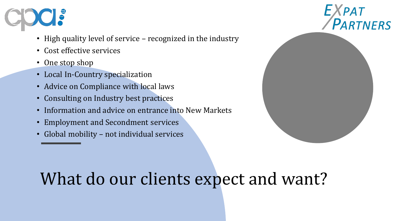

- High quality level of service recognized in the industry
- Cost effective services
- One stop shop
- Local In-Country specialization
- Advice on Compliance with local laws
- Consulting on Industry best practices
- Information and advice on entrance into New Markets
- Employment and Secondment services
- Global mobility not individual services



#### What do our clients expect and want?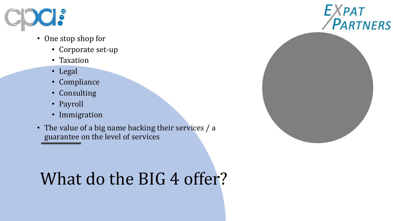

- One stop shop for
	- Corporate set-up
	- Taxation
	- Legal
	- Compliance
	- Consulting
	- Payroll
	- Immigration
- The value of a big name backing their services / a guarantee on the level of services

### What do the BIG 4 offer?

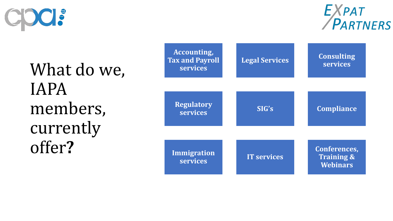

EXPAT

What do we, IAPA members, currently offer **?**

| <b>Accounting,</b><br><b>Tax and Payroll</b><br><b>Services</b> | <b>Legal Services</b> | <b>Consulting</b><br><b>services</b>                     |
|-----------------------------------------------------------------|-----------------------|----------------------------------------------------------|
| <b>Regulatory</b><br>services                                   | SIG's                 | <b>Compliance</b>                                        |
| <b>Immigration</b><br><b>services</b>                           | <b>IT services</b>    | Conferences,<br><b>Training &amp;</b><br><b>Webinars</b> |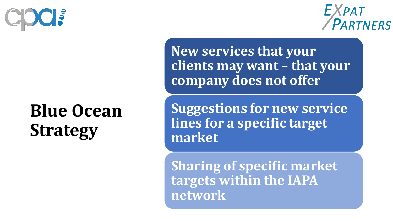

#### EXPAT PARTNERS

#### **Blue Ocean Strategy**

**New services that your clients may want – that your company does not offer**

**Suggestions for new service lines for a specific target market**

**Sharing of specific market targets within the IAPA network**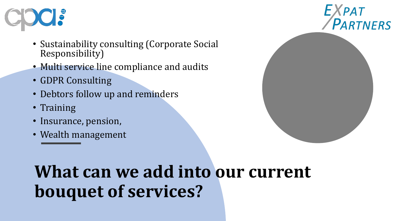

- Sustainability consulting (Corporate Social Responsibility)
- Multi service line compliance and audits
- GDPR Consulting
- Debtors follow up and reminders
- Training
- Insurance, pension,
- Wealth management



### **What can we add into our current bouquet of services?**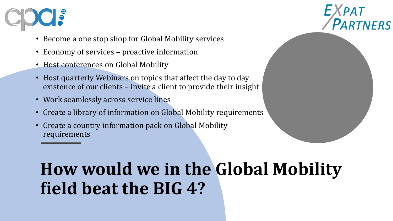

- Become a one stop shop for Global Mobility services
- Economy of services proactive information
- Host conferences on Global Mobility
- Host quarterly Webinars on topics that affect the day to day existence of our clients – invite a client to provide their insight
- Work seamlessly across service lines
- Create a library of information on Global Mobility requirements
- Create a country information pack on Global Mobility requirements



### **How would we in the Global Mobility field beat the BIG 4?**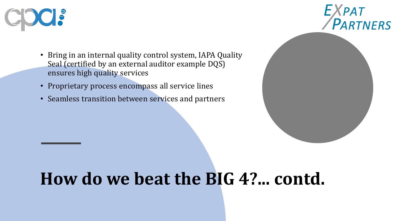

EXPAT<br>PARTNERS

- Bring in an internal quality control system, IAPA Quality Seal (certified by an external auditor example DQS) ensures high quality services
- Proprietary process encompass all service lines
- Seamless transition between services and partners

#### **How do we beat the BIG 4?... contd.**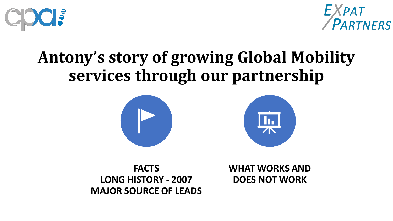



#### **Antony's story of growing Global Mobility services through our partnership**





**FACTS LONG HISTORY - 2007 MAJOR SOURCE OF LEADS** **WHAT WORKS AND DOES NOT WORK**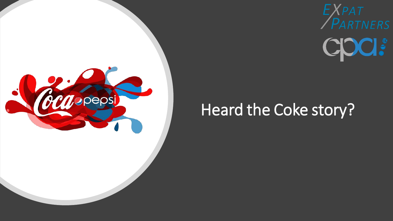



#### Heard the Coke story?